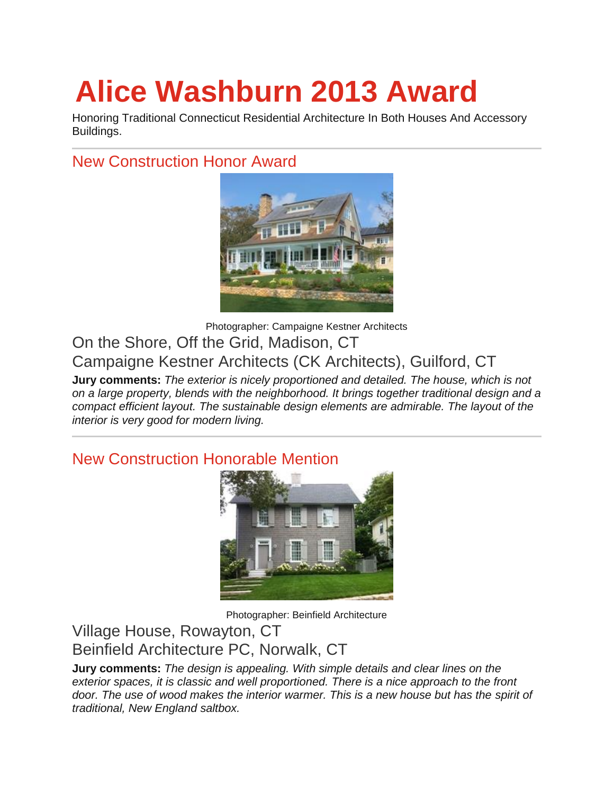# **Alice Washburn 2013 Award**

Honoring Traditional Connecticut Residential Architecture In Both Houses And Accessory Buildings.

## New Construction Honor Award



Photographer: Campaigne Kestner Architects On the Shore, Off the Grid, Madison, CT Campaigne Kestner Architects (CK Architects), Guilford, CT

**Jury comments:** *The exterior is nicely proportioned and detailed. The house, which is not on a large property, blends with the neighborhood. It brings together traditional design and a compact efficient layout. The sustainable design elements are admirable. The layout of the interior is very good for modern living.*

## New Construction Honorable Mention



Photographer: Beinfield Architecture

Village House, Rowayton, CT Beinfield Architecture PC, Norwalk, CT

**Jury comments:** *The design is appealing. With simple details and clear lines on the exterior spaces, it is classic and well proportioned. There is a nice approach to the front door. The use of wood makes the interior warmer. This is a new house but has the spirit of traditional, New England saltbox.*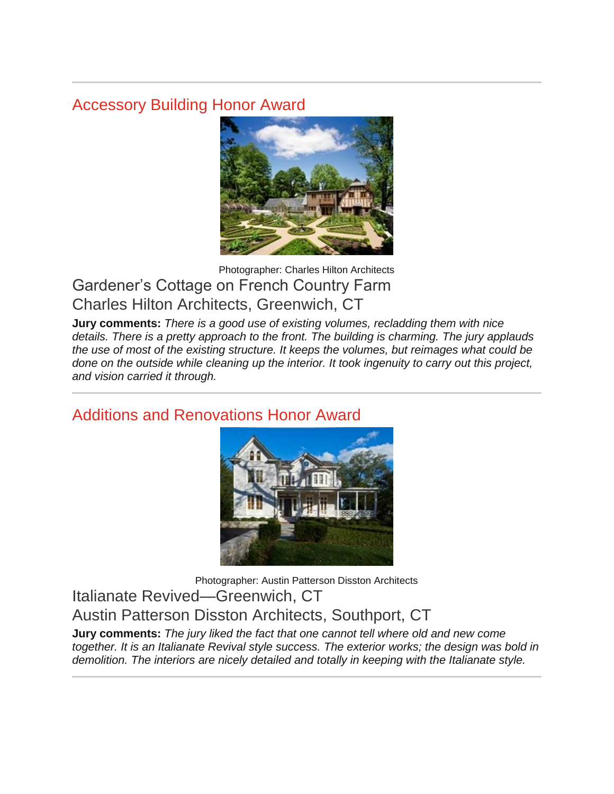## Accessory Building Honor Award



### Photographer: Charles Hilton Architects Gardener's Cottage on French Country Farm Charles Hilton Architects, Greenwich, CT

**Jury comments:** *There is a good use of existing volumes, recladding them with nice details. There is a pretty approach to the front. The building is charming. The jury applauds the use of most of the existing structure. It keeps the volumes, but reimages what could be done on the outside while cleaning up the interior. It took ingenuity to carry out this project, and vision carried it through.*

## Additions and Renovations Honor Award



Photographer: Austin Patterson Disston Architects Italianate Revived—Greenwich, CT Austin Patterson Disston Architects, Southport, CT

**Jury comments:** *The jury liked the fact that one cannot tell where old and new come together. It is an Italianate Revival style success. The exterior works; the design was bold in demolition. The interiors are nicely detailed and totally in keeping with the Italianate style.*